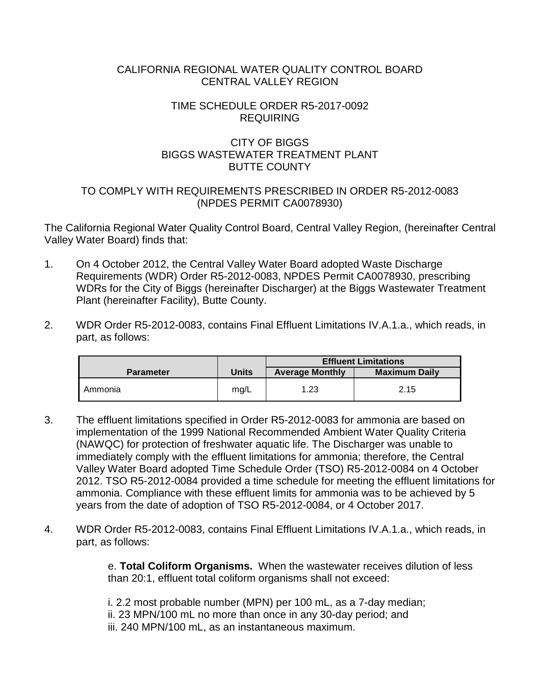### CALIFORNIA REGIONAL WATER QUALITY CONTROL BOARD CENTRAL VALLEY REGION

#### TIME SCHEDULE ORDER R5-2017-0092 REQUIRING

## CITY OF BIGGS BIGGS WASTEWATER TREATMENT PLANT BUTTE COUNTY

### TO COMPLY WITH REQUIREMENTS PRESCRIBED IN ORDER R5-2012-0083 (NPDES PERMIT CA0078930)

The California Regional Water Quality Control Board, Central Valley Region, (hereinafter Central Valley Water Board) finds that:

- 1. On 4 October 2012, the Central Valley Water Board adopted Waste Discharge Requirements (WDR) Order R5-2012-0083, NPDES Permit CA0078930, prescribing WDRs for the City of Biggs (hereinafter Discharger) at the Biggs Wastewater Treatment Plant (hereinafter Facility), Butte County.
- 2. WDR Order R5-2012-0083, contains Final Effluent Limitations IV.A.1.a., which reads, in part, as follows:

|                  |       | <b>Effluent Limitations</b> |                      |  |
|------------------|-------|-----------------------------|----------------------|--|
| <b>Parameter</b> | Units | <b>Average Monthly</b>      | <b>Maximum Daily</b> |  |
| Ammonia          | mg/L  | 1.23                        | 2.15                 |  |

- 3. The effluent limitations specified in Order R5-2012-0083 for ammonia are based on implementation of the 1999 National Recommended Ambient Water Quality Criteria (NAWQC) for protection of freshwater aquatic life. The Discharger was unable to immediately comply with the effluent limitations for ammonia; therefore, the Central Valley Water Board adopted Time Schedule Order (TSO) R5-2012-0084 on 4 October 2012. TSO R5-2012-0084 provided a time schedule for meeting the effluent limitations for ammonia. Compliance with these effluent limits for ammonia was to be achieved by 5 years from the date of adoption of TSO R5-2012-0084, or 4 October 2017.
- 4. WDR Order R5-2012-0083, contains Final Effluent Limitations IV.A.1.a., which reads, in part, as follows:

e. **Total Coliform Organisms.** When the wastewater receives dilution of less than 20:1, effluent total coliform organisms shall not exceed:

- i. 2.2 most probable number (MPN) per 100 mL, as a 7-day median;
- ii. 23 MPN/100 mL no more than once in any 30-day period; and
- iii. 240 MPN/100 mL, as an instantaneous maximum.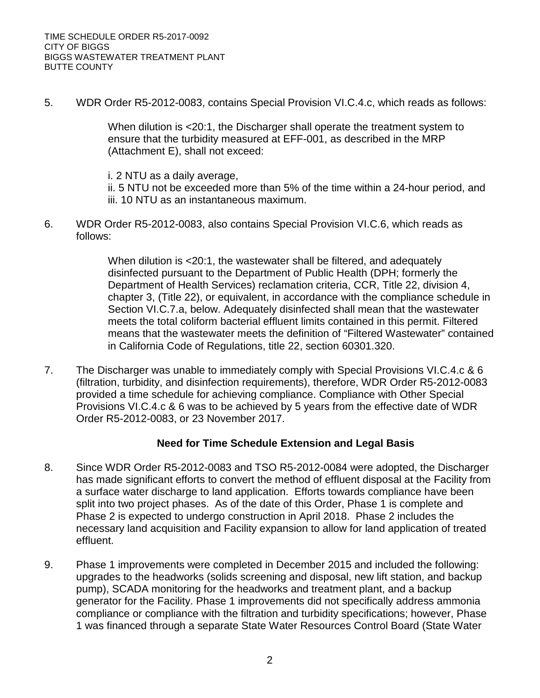5. WDR Order R5-2012-0083, contains Special Provision VI.C.4.c, which reads as follows:

When dilution is <20:1, the Discharger shall operate the treatment system to ensure that the turbidity measured at EFF-001, as described in the MRP (Attachment E), shall not exceed:

i. 2 NTU as a daily average,

ii. 5 NTU not be exceeded more than 5% of the time within a 24-hour period, and iii. 10 NTU as an instantaneous maximum.

6. WDR Order R5-2012-0083, also contains Special Provision VI.C.6, which reads as follows:

> When dilution is <20:1, the wastewater shall be filtered, and adequately disinfected pursuant to the Department of Public Health (DPH; formerly the Department of Health Services) reclamation criteria, CCR, Title 22, division 4, chapter 3, (Title 22), or equivalent, in accordance with the compliance schedule in Section VI.C.7.a, below. Adequately disinfected shall mean that the wastewater meets the total coliform bacterial effluent limits contained in this permit. Filtered means that the wastewater meets the definition of "Filtered Wastewater" contained in California Code of Regulations, title 22, section 60301.320.

7. The Discharger was unable to immediately comply with Special Provisions VI.C.4.c & 6 (filtration, turbidity, and disinfection requirements), therefore, WDR Order R5-2012-0083 provided a time schedule for achieving compliance. Compliance with Other Special Provisions VI.C.4.c & 6 was to be achieved by 5 years from the effective date of WDR Order R5-2012-0083, or 23 November 2017.

### **Need for Time Schedule Extension and Legal Basis**

- 8. Since WDR Order R5-2012-0083 and TSO R5-2012-0084 were adopted, the Discharger has made significant efforts to convert the method of effluent disposal at the Facility from a surface water discharge to land application. Efforts towards compliance have been split into two project phases. As of the date of this Order, Phase 1 is complete and Phase 2 is expected to undergo construction in April 2018. Phase 2 includes the necessary land acquisition and Facility expansion to allow for land application of treated effluent.
- 9. Phase 1 improvements were completed in December 2015 and included the following: upgrades to the headworks (solids screening and disposal, new lift station, and backup pump), SCADA monitoring for the headworks and treatment plant, and a backup generator for the Facility. Phase 1 improvements did not specifically address ammonia compliance or compliance with the filtration and turbidity specifications; however, Phase 1 was financed through a separate State Water Resources Control Board (State Water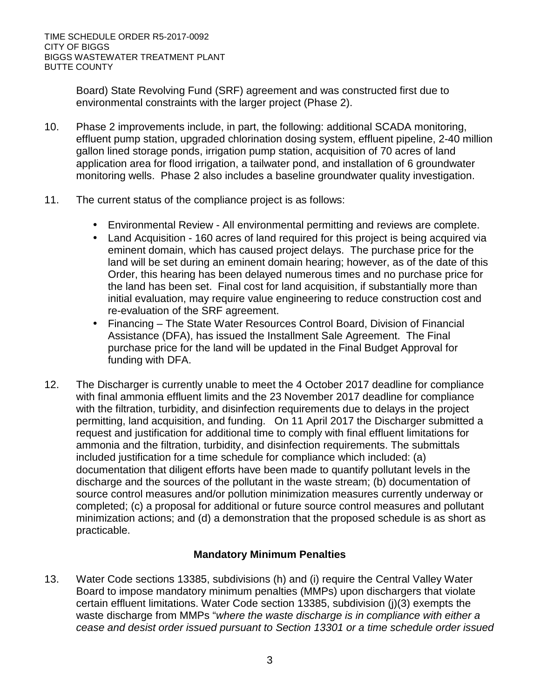Board) State Revolving Fund (SRF) agreement and was constructed first due to environmental constraints with the larger project (Phase 2).

- 10. Phase 2 improvements include, in part, the following: additional SCADA monitoring, effluent pump station, upgraded chlorination dosing system, effluent pipeline, 2-40 million gallon lined storage ponds, irrigation pump station, acquisition of 70 acres of land application area for flood irrigation, a tailwater pond, and installation of 6 groundwater monitoring wells. Phase 2 also includes a baseline groundwater quality investigation.
- 11. The current status of the compliance project is as follows:
	- Environmental Review All environmental permitting and reviews are complete.
	- Land Acquisition 160 acres of land required for this project is being acquired via eminent domain, which has caused project delays. The purchase price for the land will be set during an eminent domain hearing; however, as of the date of this Order, this hearing has been delayed numerous times and no purchase price for the land has been set. Final cost for land acquisition, if substantially more than initial evaluation, may require value engineering to reduce construction cost and re-evaluation of the SRF agreement.
	- Financing The State Water Resources Control Board, Division of Financial Assistance (DFA), has issued the Installment Sale Agreement. The Final purchase price for the land will be updated in the Final Budget Approval for funding with DFA.
- 12. The Discharger is currently unable to meet the 4 October 2017 deadline for compliance with final ammonia effluent limits and the 23 November 2017 deadline for compliance with the filtration, turbidity, and disinfection requirements due to delays in the project permitting, land acquisition, and funding. On 11 April 2017 the Discharger submitted a request and justification for additional time to comply with final effluent limitations for ammonia and the filtration, turbidity, and disinfection requirements. The submittals included justification for a time schedule for compliance which included: (a) documentation that diligent efforts have been made to quantify pollutant levels in the discharge and the sources of the pollutant in the waste stream; (b) documentation of source control measures and/or pollution minimization measures currently underway or completed; (c) a proposal for additional or future source control measures and pollutant minimization actions; and (d) a demonstration that the proposed schedule is as short as practicable.

# **Mandatory Minimum Penalties**

13. Water Code sections 13385, subdivisions (h) and (i) require the Central Valley Water Board to impose mandatory minimum penalties (MMPs) upon dischargers that violate certain effluent limitations. Water Code section 13385, subdivision (j)(3) exempts the waste discharge from MMPs "*where the waste discharge is in compliance with either a cease and desist order issued pursuant to Section 13301 or a time schedule order issued*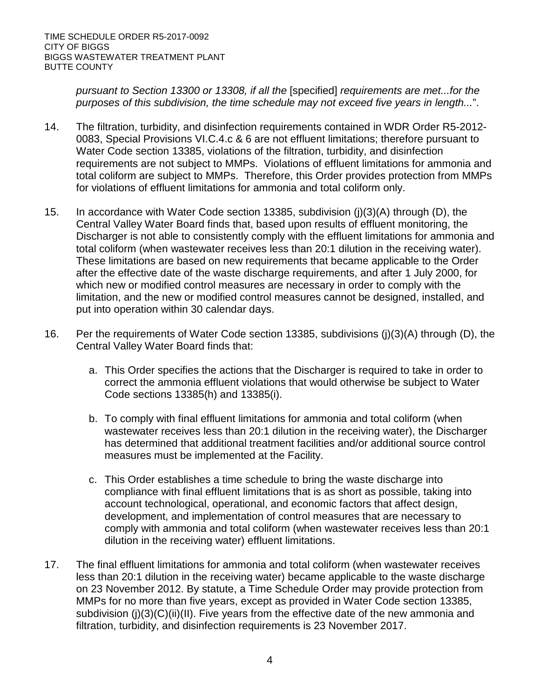*pursuant to Section 13300 or 13308, if all the* [specified] *requirements are met...for the purposes of this subdivision, the time schedule may not exceed five years in length...*".

- 14. The filtration, turbidity, and disinfection requirements contained in WDR Order R5-2012- 0083, Special Provisions VI.C.4.c & 6 are not effluent limitations; therefore pursuant to Water Code section 13385, violations of the filtration, turbidity, and disinfection requirements are not subject to MMPs. Violations of effluent limitations for ammonia and total coliform are subject to MMPs. Therefore, this Order provides protection from MMPs for violations of effluent limitations for ammonia and total coliform only.
- 15. In accordance with Water Code section 13385, subdivision (j)(3)(A) through (D), the Central Valley Water Board finds that, based upon results of effluent monitoring, the Discharger is not able to consistently comply with the effluent limitations for ammonia and total coliform (when wastewater receives less than 20:1 dilution in the receiving water). These limitations are based on new requirements that became applicable to the Order after the effective date of the waste discharge requirements, and after 1 July 2000, for which new or modified control measures are necessary in order to comply with the limitation, and the new or modified control measures cannot be designed, installed, and put into operation within 30 calendar days.
- 16. Per the requirements of Water Code section 13385, subdivisions (j)(3)(A) through (D), the Central Valley Water Board finds that:
	- a. This Order specifies the actions that the Discharger is required to take in order to correct the ammonia effluent violations that would otherwise be subject to Water Code sections 13385(h) and 13385(i).
	- b. To comply with final effluent limitations for ammonia and total coliform (when wastewater receives less than 20:1 dilution in the receiving water), the Discharger has determined that additional treatment facilities and/or additional source control measures must be implemented at the Facility.
	- c. This Order establishes a time schedule to bring the waste discharge into compliance with final effluent limitations that is as short as possible, taking into account technological, operational, and economic factors that affect design, development, and implementation of control measures that are necessary to comply with ammonia and total coliform (when wastewater receives less than 20:1 dilution in the receiving water) effluent limitations.
- 17. The final effluent limitations for ammonia and total coliform (when wastewater receives less than 20:1 dilution in the receiving water) became applicable to the waste discharge on 23 November 2012. By statute, a Time Schedule Order may provide protection from MMPs for no more than five years, except as provided in Water Code section 13385, subdivision (j)(3)(C)(ii)(II). Five years from the effective date of the new ammonia and filtration, turbidity, and disinfection requirements is 23 November 2017.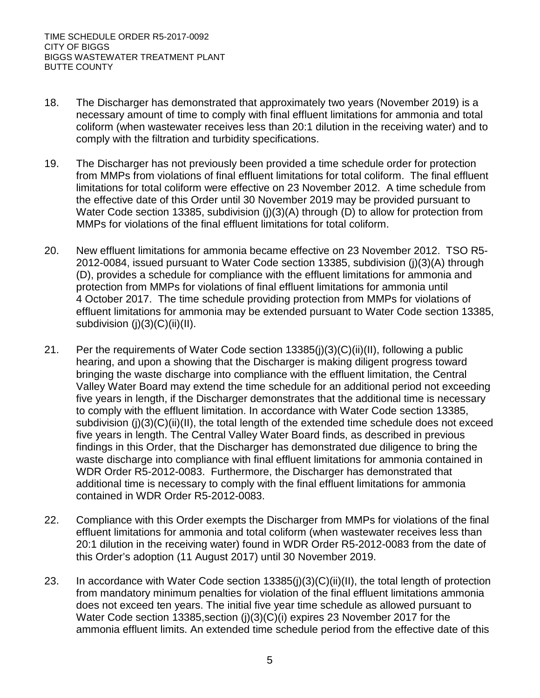- 18. The Discharger has demonstrated that approximately two years (November 2019) is a necessary amount of time to comply with final effluent limitations for ammonia and total coliform (when wastewater receives less than 20:1 dilution in the receiving water) and to comply with the filtration and turbidity specifications.
- 19. The Discharger has not previously been provided a time schedule order for protection from MMPs from violations of final effluent limitations for total coliform. The final effluent limitations for total coliform were effective on 23 November 2012. A time schedule from the effective date of this Order until 30 November 2019 may be provided pursuant to Water Code section 13385, subdivision (j)(3)(A) through (D) to allow for protection from MMPs for violations of the final effluent limitations for total coliform.
- 20. New effluent limitations for ammonia became effective on 23 November 2012. TSO R5- 2012-0084, issued pursuant to Water Code section 13385, subdivision (j)(3)(A) through (D), provides a schedule for compliance with the effluent limitations for ammonia and protection from MMPs for violations of final effluent limitations for ammonia until 4 October 2017. The time schedule providing protection from MMPs for violations of effluent limitations for ammonia may be extended pursuant to Water Code section 13385, subdivision  $(j)(3)(C)(ii)(II)$ .
- 21. Per the requirements of Water Code section 13385(j)(3)(C)(ii)(II), following a public hearing, and upon a showing that the Discharger is making diligent progress toward bringing the waste discharge into compliance with the effluent limitation, the Central Valley Water Board may extend the time schedule for an additional period not exceeding five years in length, if the Discharger demonstrates that the additional time is necessary to comply with the effluent limitation. In accordance with Water Code section 13385, subdivision (i)(3)(C)(ii)(II), the total length of the extended time schedule does not exceed five years in length. The Central Valley Water Board finds, as described in previous findings in this Order, that the Discharger has demonstrated due diligence to bring the waste discharge into compliance with final effluent limitations for ammonia contained in WDR Order R5-2012-0083. Furthermore, the Discharger has demonstrated that additional time is necessary to comply with the final effluent limitations for ammonia contained in WDR Order R5-2012-0083.
- 22. Compliance with this Order exempts the Discharger from MMPs for violations of the final effluent limitations for ammonia and total coliform (when wastewater receives less than 20:1 dilution in the receiving water) found in WDR Order R5-2012-0083 from the date of this Order's adoption (11 August 2017) until 30 November 2019.
- 23. In accordance with Water Code section 13385(j)(3)(C)(ii)(II), the total length of protection from mandatory minimum penalties for violation of the final effluent limitations ammonia does not exceed ten years. The initial five year time schedule as allowed pursuant to Water Code section 13385, section (j)(3)(C)(i) expires 23 November 2017 for the ammonia effluent limits. An extended time schedule period from the effective date of this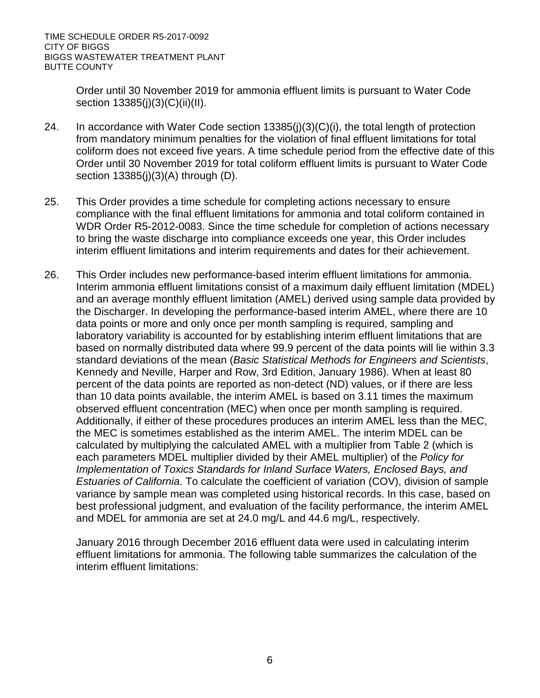Order until 30 November 2019 for ammonia effluent limits is pursuant to Water Code section 13385(j)(3)(C)(ii)(II).

- 24. In accordance with Water Code section 13385(j)(3)(C)(i), the total length of protection from mandatory minimum penalties for the violation of final effluent limitations for total coliform does not exceed five years. A time schedule period from the effective date of this Order until 30 November 2019 for total coliform effluent limits is pursuant to Water Code section 13385(j)(3)(A) through (D).
- 25. This Order provides a time schedule for completing actions necessary to ensure compliance with the final effluent limitations for ammonia and total coliform contained in WDR Order R5-2012-0083. Since the time schedule for completion of actions necessary to bring the waste discharge into compliance exceeds one year, this Order includes interim effluent limitations and interim requirements and dates for their achievement.
- 26. This Order includes new performance-based interim effluent limitations for ammonia. Interim ammonia effluent limitations consist of a maximum daily effluent limitation (MDEL) and an average monthly effluent limitation (AMEL) derived using sample data provided by the Discharger. In developing the performance-based interim AMEL, where there are 10 data points or more and only once per month sampling is required, sampling and laboratory variability is accounted for by establishing interim effluent limitations that are based on normally distributed data where 99.9 percent of the data points will lie within 3.3 standard deviations of the mean (*Basic Statistical Methods for Engineers and Scientists*, Kennedy and Neville, Harper and Row, 3rd Edition, January 1986). When at least 80 percent of the data points are reported as non-detect (ND) values, or if there are less than 10 data points available, the interim AMEL is based on 3.11 times the maximum observed effluent concentration (MEC) when once per month sampling is required. Additionally, if either of these procedures produces an interim AMEL less than the MEC, the MEC is sometimes established as the interim AMEL. The interim MDEL can be calculated by multiplying the calculated AMEL with a multiplier from Table 2 (which is each parameters MDEL multiplier divided by their AMEL multiplier) of the *Policy for Implementation of Toxics Standards for Inland Surface Waters, Enclosed Bays, and Estuaries of California*. To calculate the coefficient of variation (COV), division of sample variance by sample mean was completed using historical records. In this case, based on best professional judgment, and evaluation of the facility performance, the interim AMEL and MDEL for ammonia are set at 24.0 mg/L and 44.6 mg/L, respectively.

January 2016 through December 2016 effluent data were used in calculating interim effluent limitations for ammonia. The following table summarizes the calculation of the interim effluent limitations: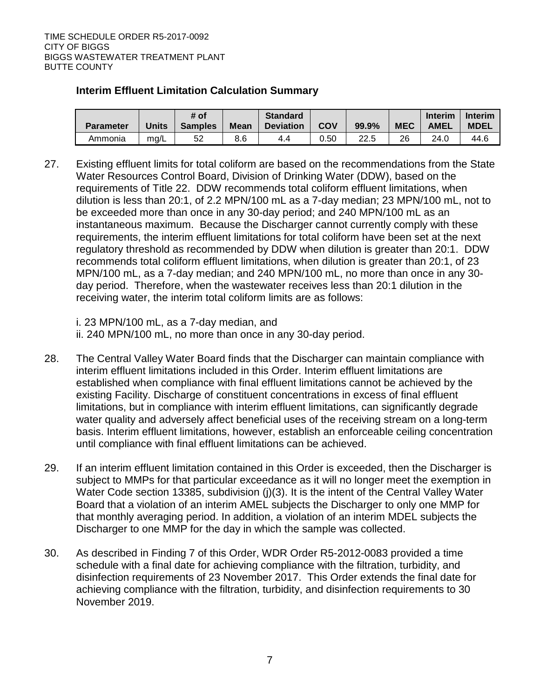## **Interim Effluent Limitation Calculation Summary**

| <b>Parameter</b> | Units | # of<br><b>Samples</b> | <b>Mean</b> | <b>Standard</b><br><b>Deviation</b> | COV  | 99.9% | <b>MEC</b> | <b>Interim</b><br><b>AMEL</b> | Interim<br><b>MDEL</b> |
|------------------|-------|------------------------|-------------|-------------------------------------|------|-------|------------|-------------------------------|------------------------|
|                  |       |                        |             |                                     |      |       |            |                               |                        |
| Ammonia          | mq/L  | 52                     | 8.6         | 4.4                                 | 0.50 | 22.5  | 26         | 24.0                          | 44.6                   |

27. Existing effluent limits for total coliform are based on the recommendations from the State Water Resources Control Board, Division of Drinking Water (DDW), based on the requirements of Title 22. DDW recommends total coliform effluent limitations, when dilution is less than 20:1, of 2.2 MPN/100 mL as a 7-day median; 23 MPN/100 mL, not to be exceeded more than once in any 30-day period; and 240 MPN/100 mL as an instantaneous maximum. Because the Discharger cannot currently comply with these requirements, the interim effluent limitations for total coliform have been set at the next regulatory threshold as recommended by DDW when dilution is greater than 20:1. DDW recommends total coliform effluent limitations, when dilution is greater than 20:1, of 23 MPN/100 mL, as a 7-day median; and 240 MPN/100 mL, no more than once in any 30 day period. Therefore, when the wastewater receives less than 20:1 dilution in the receiving water, the interim total coliform limits are as follows:

i. 23 MPN/100 mL, as a 7-day median, and

ii. 240 MPN/100 mL, no more than once in any 30-day period.

- 28. The Central Valley Water Board finds that the Discharger can maintain compliance with interim effluent limitations included in this Order. Interim effluent limitations are established when compliance with final effluent limitations cannot be achieved by the existing Facility. Discharge of constituent concentrations in excess of final effluent limitations, but in compliance with interim effluent limitations, can significantly degrade water quality and adversely affect beneficial uses of the receiving stream on a long-term basis. Interim effluent limitations, however, establish an enforceable ceiling concentration until compliance with final effluent limitations can be achieved.
- 29. If an interim effluent limitation contained in this Order is exceeded, then the Discharger is subject to MMPs for that particular exceedance as it will no longer meet the exemption in Water Code section 13385, subdivision (j)(3). It is the intent of the Central Valley Water Board that a violation of an interim AMEL subjects the Discharger to only one MMP for that monthly averaging period. In addition, a violation of an interim MDEL subjects the Discharger to one MMP for the day in which the sample was collected.
- 30. As described in Finding 7 of this Order, WDR Order R5-2012-0083 provided a time schedule with a final date for achieving compliance with the filtration, turbidity, and disinfection requirements of 23 November 2017. This Order extends the final date for achieving compliance with the filtration, turbidity, and disinfection requirements to 30 November 2019.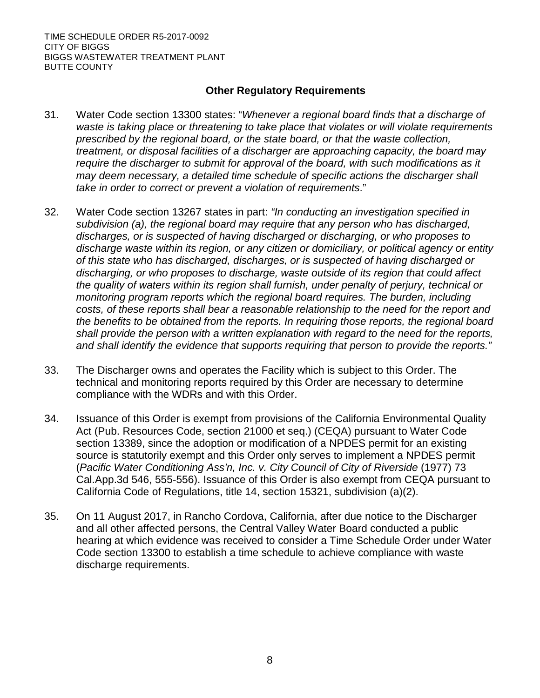TIME SCHEDULE ORDER R5-2017-0092 CITY OF BIGGS BIGGS WASTEWATER TREATMENT PLANT BUTTE COUNTY

### **Other Regulatory Requirements**

- 31. Water Code section 13300 states: "*Whenever a regional board finds that a discharge of waste is taking place or threatening to take place that violates or will violate requirements prescribed by the regional board, or the state board, or that the waste collection, treatment, or disposal facilities of a discharger are approaching capacity, the board may require the discharger to submit for approval of the board, with such modifications as it may deem necessary, a detailed time schedule of specific actions the discharger shall take in order to correct or prevent a violation of requirements*."
- 32. Water Code section 13267 states in part: *"In conducting an investigation specified in subdivision (a), the regional board may require that any person who has discharged, discharges, or is suspected of having discharged or discharging, or who proposes to discharge waste within its region, or any citizen or domiciliary, or political agency or entity of this state who has discharged, discharges, or is suspected of having discharged or discharging, or who proposes to discharge, waste outside of its region that could affect the quality of waters within its region shall furnish, under penalty of perjury, technical or monitoring program reports which the regional board requires. The burden, including costs, of these reports shall bear a reasonable relationship to the need for the report and the benefits to be obtained from the reports. In requiring those reports, the regional board shall provide the person with a written explanation with regard to the need for the reports, and shall identify the evidence that supports requiring that person to provide the reports."*
- 33. The Discharger owns and operates the Facility which is subject to this Order. The technical and monitoring reports required by this Order are necessary to determine compliance with the WDRs and with this Order.
- 34. Issuance of this Order is exempt from provisions of the California Environmental Quality Act (Pub. Resources Code, section 21000 et seq.) (CEQA) pursuant to Water Code section 13389, since the adoption or modification of a NPDES permit for an existing source is statutorily exempt and this Order only serves to implement a NPDES permit (*Pacific Water Conditioning Ass'n, Inc. v. City Council of City of Riverside* (1977) 73 Cal.App.3d 546, 555-556). Issuance of this Order is also exempt from CEQA pursuant to California Code of Regulations, title 14, section 15321, subdivision (a)(2).
- 35. On 11 August 2017, in Rancho Cordova, California, after due notice to the Discharger and all other affected persons, the Central Valley Water Board conducted a public hearing at which evidence was received to consider a Time Schedule Order under Water Code section 13300 to establish a time schedule to achieve compliance with waste discharge requirements.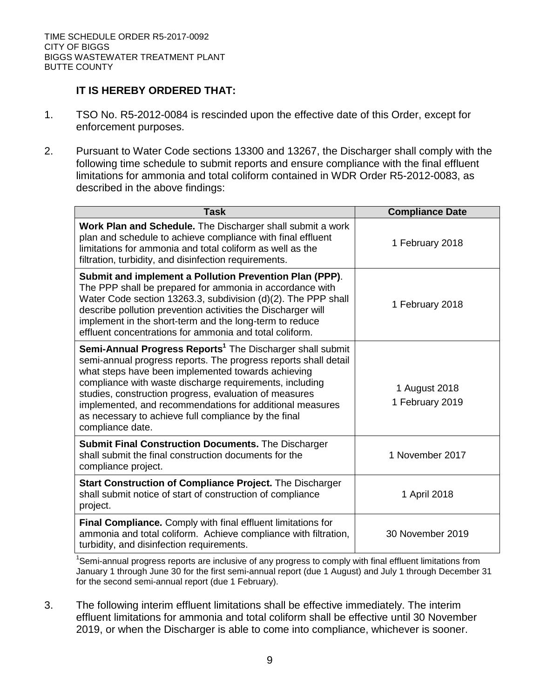## **IT IS HEREBY ORDERED THAT:**

- 1. TSO No. R5-2012-0084 is rescinded upon the effective date of this Order, except for enforcement purposes.
- 2. Pursuant to Water Code sections 13300 and 13267, the Discharger shall comply with the following time schedule to submit reports and ensure compliance with the final effluent limitations for ammonia and total coliform contained in WDR Order R5-2012-0083, as described in the above findings:

| <b>Task</b>                                                                                                                                                                                                                                                                                                                                                                                                                                                 | <b>Compliance Date</b>           |
|-------------------------------------------------------------------------------------------------------------------------------------------------------------------------------------------------------------------------------------------------------------------------------------------------------------------------------------------------------------------------------------------------------------------------------------------------------------|----------------------------------|
| Work Plan and Schedule. The Discharger shall submit a work<br>plan and schedule to achieve compliance with final effluent<br>limitations for ammonia and total coliform as well as the<br>filtration, turbidity, and disinfection requirements.                                                                                                                                                                                                             | 1 February 2018                  |
| Submit and implement a Pollution Prevention Plan (PPP).<br>The PPP shall be prepared for ammonia in accordance with<br>Water Code section 13263.3, subdivision (d)(2). The PPP shall<br>describe pollution prevention activities the Discharger will<br>implement in the short-term and the long-term to reduce<br>effluent concentrations for ammonia and total coliform.                                                                                  | 1 February 2018                  |
| Semi-Annual Progress Reports <sup>1</sup> The Discharger shall submit<br>semi-annual progress reports. The progress reports shall detail<br>what steps have been implemented towards achieving<br>compliance with waste discharge requirements, including<br>studies, construction progress, evaluation of measures<br>implemented, and recommendations for additional measures<br>as necessary to achieve full compliance by the final<br>compliance date. | 1 August 2018<br>1 February 2019 |
| <b>Submit Final Construction Documents.</b> The Discharger<br>shall submit the final construction documents for the<br>compliance project.                                                                                                                                                                                                                                                                                                                  | 1 November 2017                  |
| Start Construction of Compliance Project. The Discharger<br>shall submit notice of start of construction of compliance<br>project.                                                                                                                                                                                                                                                                                                                          | 1 April 2018                     |
| Final Compliance. Comply with final effluent limitations for<br>ammonia and total coliform. Achieve compliance with filtration,<br>turbidity, and disinfection requirements.                                                                                                                                                                                                                                                                                | 30 November 2019                 |

<sup>1</sup>Semi-annual progress reports are inclusive of any progress to comply with final effluent limitations from January 1 through June 30 for the first semi-annual report (due 1 August) and July 1 through December 31 for the second semi-annual report (due 1 February).

3. The following interim effluent limitations shall be effective immediately. The interim effluent limitations for ammonia and total coliform shall be effective until 30 November 2019, or when the Discharger is able to come into compliance, whichever is sooner.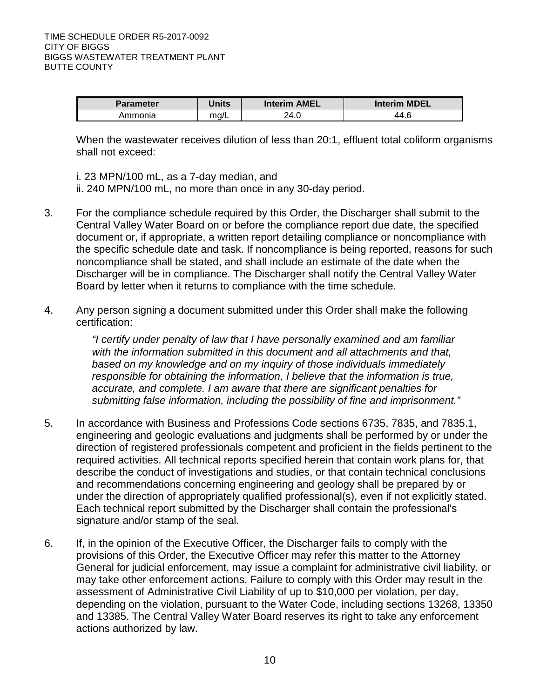| <b>Parameter</b> | Units | Interim AMEL | Interim MDEL |
|------------------|-------|--------------|--------------|
| Ammonia          | mq/L  | 24.0         | 44.6         |

When the wastewater receives dilution of less than 20:1, effluent total coliform organisms shall not exceed:

i. 23 MPN/100 mL, as a 7-day median, and

ii. 240 MPN/100 mL, no more than once in any 30-day period.

- 3. For the compliance schedule required by this Order, the Discharger shall submit to the Central Valley Water Board on or before the compliance report due date, the specified document or, if appropriate, a written report detailing compliance or noncompliance with the specific schedule date and task. If noncompliance is being reported, reasons for such noncompliance shall be stated, and shall include an estimate of the date when the Discharger will be in compliance. The Discharger shall notify the Central Valley Water Board by letter when it returns to compliance with the time schedule.
- 4. Any person signing a document submitted under this Order shall make the following certification:

*"I certify under penalty of law that I have personally examined and am familiar with the information submitted in this document and all attachments and that, based on my knowledge and on my inquiry of those individuals immediately responsible for obtaining the information, I believe that the information is true, accurate, and complete. I am aware that there are significant penalties for submitting false information, including the possibility of fine and imprisonment."*

- 5. In accordance with Business and Professions Code sections 6735, 7835, and 7835.1, engineering and geologic evaluations and judgments shall be performed by or under the direction of registered professionals competent and proficient in the fields pertinent to the required activities. All technical reports specified herein that contain work plans for, that describe the conduct of investigations and studies, or that contain technical conclusions and recommendations concerning engineering and geology shall be prepared by or under the direction of appropriately qualified professional(s), even if not explicitly stated. Each technical report submitted by the Discharger shall contain the professional's signature and/or stamp of the seal.
- 6. If, in the opinion of the Executive Officer, the Discharger fails to comply with the provisions of this Order, the Executive Officer may refer this matter to the Attorney General for judicial enforcement, may issue a complaint for administrative civil liability, or may take other enforcement actions. Failure to comply with this Order may result in the assessment of Administrative Civil Liability of up to \$10,000 per violation, per day, depending on the violation, pursuant to the Water Code, including sections 13268, 13350 and 13385. The Central Valley Water Board reserves its right to take any enforcement actions authorized by law.